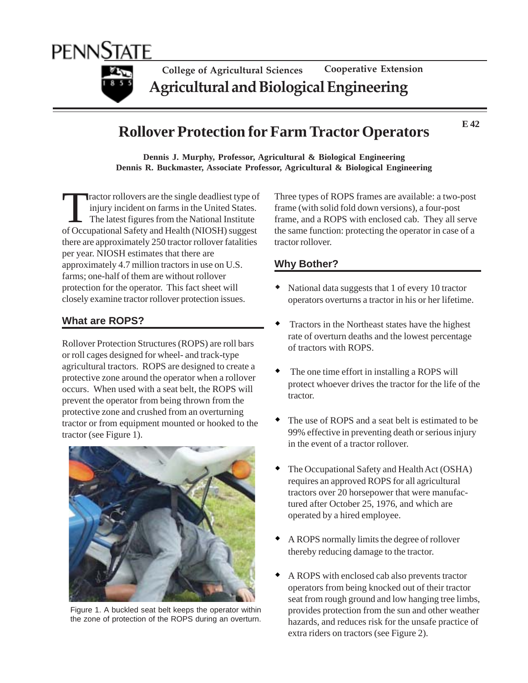

# **Rollover Protection for Farm Tractor Operators**

**E 42**

**Dennis J. Murphy, Professor, Agricultural & Biological Engineering Dennis R. Buckmaster, Associate Professor, Agricultural & Biological Engineering**

Tractor rollovers are the single deadliest type of injury incident on farms in the United States. The latest figures from the National Institute of Occupational Safety and Health (NIOSH) suggest there are approximately 250 tractor rollover fatalities per year. NIOSH estimates that there are approximately 4.7 million tractors in use on U.S. farms; one-half of them are without rollover protection for the operator. This fact sheet will closely examine tractor rollover protection issues.

## **What are ROPS?**

Rollover Protection Structures (ROPS) are roll bars or roll cages designed for wheel- and track-type agricultural tractors. ROPS are designed to create a protective zone around the operator when a rollover occurs. When used with a seat belt, the ROPS will prevent the operator from being thrown from the protective zone and crushed from an overturning tractor or from equipment mounted or hooked to the tractor (see Figure 1).



Figure 1. A buckled seat belt keeps the operator within the zone of protection of the ROPS during an overturn.

Three types of ROPS frames are available: a two-post frame (with solid fold down versions), a four-post frame, and a ROPS with enclosed cab. They all serve the same function: protecting the operator in case of a tractor rollover.

## **Why Bother?**

- National data suggests that 1 of every 10 tractor operators overturns a tractor in his or her lifetime.
- Tractors in the Northeast states have the highest rate of overturn deaths and the lowest percentage of tractors with ROPS.
- The one time effort in installing a ROPS will protect whoever drives the tractor for the life of the tractor.
- The use of ROPS and a seat belt is estimated to be 99% effective in preventing death or serious injury in the event of a tractor rollover.
- The Occupational Safety and Health Act (OSHA) requires an approved ROPS for all agricultural tractors over 20 horsepower that were manufactured after October 25, 1976, and which are operated by a hired employee.
- A ROPS normally limits the degree of rollover thereby reducing damage to the tractor.
- A ROPS with enclosed cab also prevents tractor operators from being knocked out of their tractor seat from rough ground and low hanging tree limbs, provides protection from the sun and other weather hazards, and reduces risk for the unsafe practice of extra riders on tractors (see Figure 2).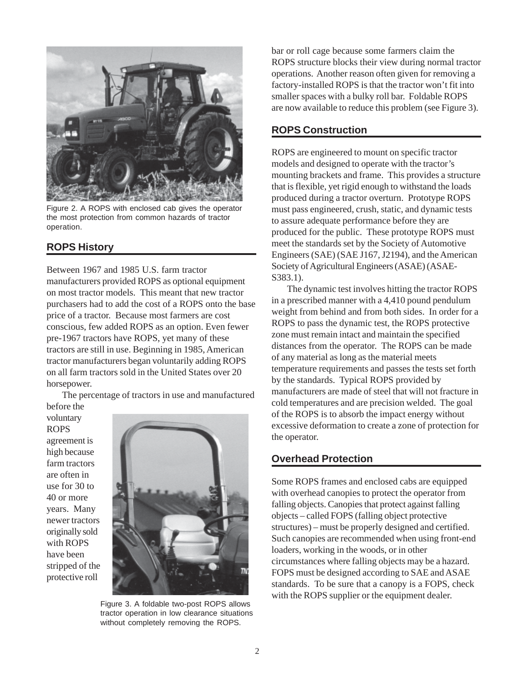

Figure 2. A ROPS with enclosed cab gives the operator the most protection from common hazards of tractor operation.

## **ROPS History**

Between 1967 and 1985 U.S. farm tractor manufacturers provided ROPS as optional equipment on most tractor models. This meant that new tractor purchasers had to add the cost of a ROPS onto the base price of a tractor. Because most farmers are cost conscious, few added ROPS as an option. Even fewer pre-1967 tractors have ROPS, yet many of these tractors are still in use. Beginning in 1985, American tractor manufacturers began voluntarily adding ROPS on all farm tractors sold in the United States over 20 horsepower.

The percentage of tractors in use and manufactured

before the voluntary ROPS agreement is high because farm tractors are often in use for 30 to 40 or more years. Many newer tractors originally sold with ROPS have been stripped of the protective roll



Figure 3. A foldable two-post ROPS allows tractor operation in low clearance situations without completely removing the ROPS.

bar or roll cage because some farmers claim the ROPS structure blocks their view during normal tractor operations. Another reason often given for removing a factory-installed ROPS is that the tractor won't fit into smaller spaces with a bulky roll bar. Foldable ROPS are now available to reduce this problem (see Figure 3).

## **ROPS Construction**

ROPS are engineered to mount on specific tractor models and designed to operate with the tractor's mounting brackets and frame. This provides a structure that is flexible, yet rigid enough to withstand the loads produced during a tractor overturn. Prototype ROPS must pass engineered, crush, static, and dynamic tests to assure adequate performance before they are produced for the public. These prototype ROPS must meet the standards set by the Society of Automotive Engineers (SAE) (SAE J167, J2194), and the American Society of Agricultural Engineers (ASAE) (ASAE-S383.1).

The dynamic test involves hitting the tractor ROPS in a prescribed manner with a 4,410 pound pendulum weight from behind and from both sides. In order for a ROPS to pass the dynamic test, the ROPS protective zone must remain intact and maintain the specified distances from the operator. The ROPS can be made of any material as long as the material meets temperature requirements and passes the tests set forth by the standards. Typical ROPS provided by manufacturers are made of steel that will not fracture in cold temperatures and are precision welded. The goal of the ROPS is to absorb the impact energy without excessive deformation to create a zone of protection for the operator.

## **Overhead Protection**

Some ROPS frames and enclosed cabs are equipped with overhead canopies to protect the operator from falling objects. Canopies that protect against falling objects – called FOPS (falling object protective structures) – must be properly designed and certified. Such canopies are recommended when using front-end loaders, working in the woods, or in other circumstances where falling objects may be a hazard. FOPS must be designed according to SAE and ASAE standards. To be sure that a canopy is a FOPS, check with the ROPS supplier or the equipment dealer.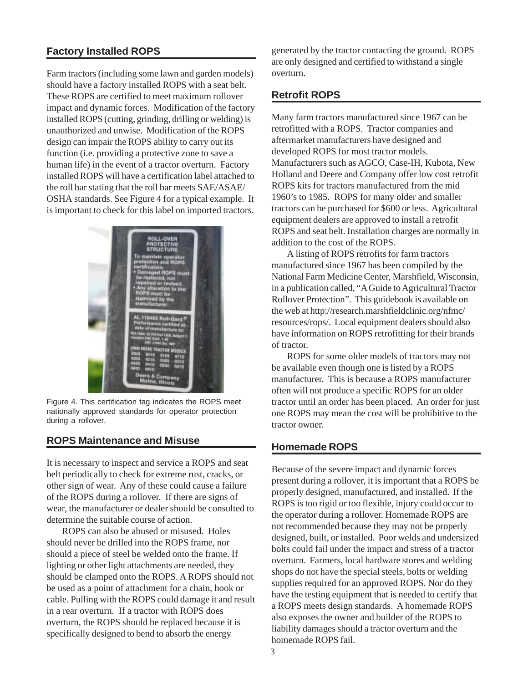# **Factory Installed ROPS**

Farm tractors (including some lawn and garden models) should have a factory installed ROPS with a seat belt. These ROPS are certified to meet maximum rollover impact and dynamic forces. Modification of the factory installed ROPS (cutting, grinding, drilling or welding) is unauthorized and unwise. Modification of the ROPS design can impair the ROPS ability to carry out its function (i.e. providing a protective zone to save a human life) in the event of a tractor overturn. Factory installed ROPS will have a certification label attached to the roll bar stating that the roll bar meets SAE/ASAE/ OSHA standards. See Figure 4 for a typical example. It is important to check for this label on imported tractors.



Figure 4. This certification tag indicates the ROPS meet nationally approved standards for operator protection during a rollover.

## **ROPS Maintenance and Misuse**

It is necessary to inspect and service a ROPS and seat belt periodically to check for extreme rust, cracks, or other sign of wear. Any of these could cause a failure of the ROPS during a rollover. If there are signs of wear, the manufacturer or dealer should be consulted to determine the suitable course of action.

ROPS can also be abused or misused. Holes should never be drilled into the ROPS frame, nor should a piece of steel be welded onto the frame. If lighting or other light attachments are needed, they should be clamped onto the ROPS. A ROPS should not be used as a point of attachment for a chain, hook or cable. Pulling with the ROPS could damage it and result in a rear overturn. If a tractor with ROPS does overturn, the ROPS should be replaced because it is specifically designed to bend to absorb the energy

generated by the tractor contacting the ground. ROPS are only designed and certified to withstand a single overturn.

# **Retrofit ROPS**

Many farm tractors manufactured since 1967 can be retrofitted with a ROPS. Tractor companies and aftermarket manufacturers have designed and developed ROPS for most tractor models. Manufacturers such as AGCO, Case-IH, Kubota, New Holland and Deere and Company offer low cost retrofit ROPS kits for tractors manufactured from the mid 1960's to 1985. ROPS for many older and smaller tractors can be purchased for \$600 or less. Agricultural equipment dealers are approved to install a retrofit ROPS and seat belt. Installation charges are normally in addition to the cost of the ROPS.

A listing of ROPS retrofits for farm tractors manufactured since 1967 has been compiled by the National Farm Medicine Center, Marshfield, Wisconsin, in a publication called, "A Guide to Agricultural Tractor Rollover Protection". This guidebook is available on the web at http://research.marshfieldclinic.org/nfmc/ resources/rops/. Local equipment dealers should also have information on ROPS retrofitting for their brands of tractor.

ROPS for some older models of tractors may not be available even though one is listed by a ROPS manufacturer. This is because a ROPS manufacturer often will not produce a specific ROPS for an older tractor until an order has been placed. An order for just one ROPS may mean the cost will be prohibitive to the tractor owner.

## **Homemade ROPS**

Because of the severe impact and dynamic forces present during a rollover, it is important that a ROPS be properly designed, manufactured, and installed. If the ROPS is too rigid or too flexible, injury could occur to the operator during a rollover. Homemade ROPS are not recommended because they may not be properly designed, built, or installed. Poor welds and undersized bolts could fail under the impact and stress of a tractor overturn. Farmers, local hardware stores and welding shops do not have the special steels, bolts or welding supplies required for an approved ROPS. Nor do they have the testing equipment that is needed to certify that a ROPS meets design standards. A homemade ROPS also exposes the owner and builder of the ROPS to liability damages should a tractor overturn and the homemade ROPS fail.